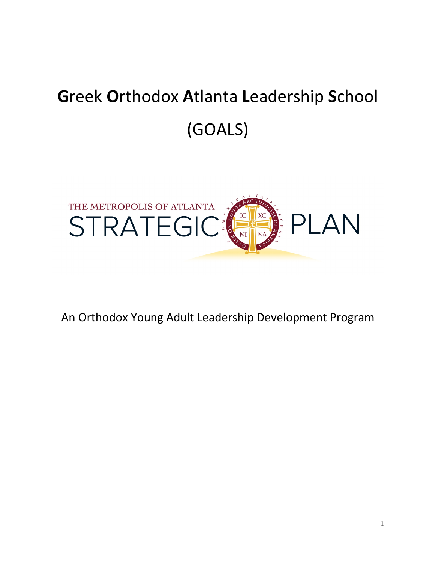# **G**reek **O**rthodox **A**tlanta **L**eadership **S**chool (GOALS)



An Orthodox Young Adult Leadership Development Program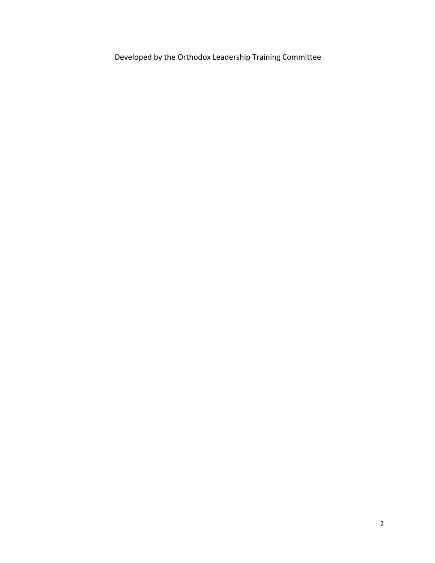Developed by the Orthodox Leadership Training Committee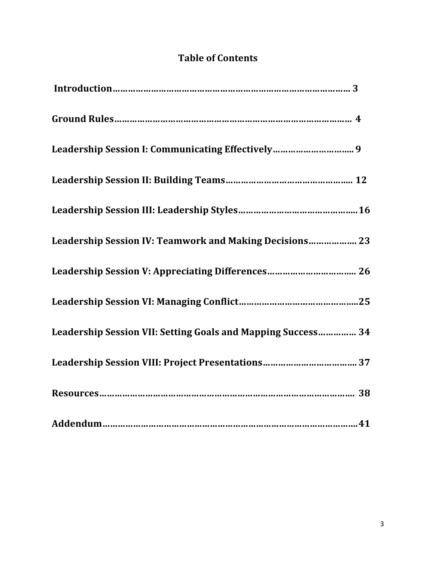# **Table of Contents**

| Leadership Session I: Communicating Effectively 9            |
|--------------------------------------------------------------|
|                                                              |
|                                                              |
| Leadership Session IV: Teamwork and Making Decisions 23      |
|                                                              |
|                                                              |
| Leadership Session VII: Setting Goals and Mapping Success 34 |
| Leadership Session VIII: Project Presentations 37            |
|                                                              |
|                                                              |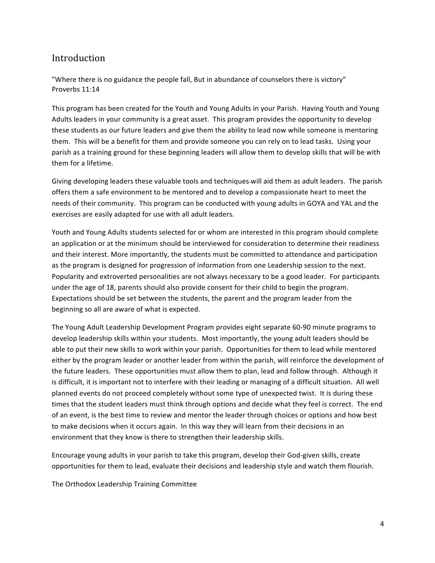### Introduction

"Where there is no guidance the people fall, But in abundance of counselors there is victory" Proverbs 11:14

This program has been created for the Youth and Young Adults in your Parish. Having Youth and Young Adults leaders in your community is a great asset. This program provides the opportunity to develop these students as our future leaders and give them the ability to lead now while someone is mentoring them. This will be a benefit for them and provide someone you can rely on to lead tasks. Using your parish as a training ground for these beginning leaders will allow them to develop skills that will be with them for a lifetime.

Giving developing leaders these valuable tools and techniques-will aid them as adult leaders. The parish offers them a safe environment to be mentored and to develop a compassionate heart to meet the needs of their community. This program can be conducted with young adults in GOYA and YAL and the exercises are easily adapted for use with all adult leaders.

Youth and Young Adults students selected for or whom are interested in this program should complete an application or at the minimum should be interviewed for consideration to determine their readiness and their interest. More importantly, the students must be committed to attendance and participation as the program is designed for progression of information from one Leadership session to the next. Popularity and extroverted personalities are not always necessary to be a good leader. For participants under the age of 18, parents should also provide consent for their child to begin the program. Expectations should be set between the students, the parent and the program leader from the beginning so all are aware of what is expected.

The Young Adult Leadership Development Program provides eight separate 60-90 minute programs to develop leadership skills within your students. Most importantly, the young adult leaders should be able to put their new skills to work within your parish. Opportunities for them to lead while mentored either by the program leader or another leader from within the parish, will reinforce the development of the future leaders. These opportunities must allow them to plan, lead and follow through. Although it is difficult, it is important not to interfere with their leading or managing of a difficult situation. All well planned events do not proceed completely without some type of unexpected twist. It is during these times that the student leaders must think through options and decide what they feel is correct. The end of an event, is the best time to review and mentor the leader through choices or options and how best to make decisions when it occurs again. In this way they will learn from their decisions in an environment that they know is there to strengthen their leadership skills.

Encourage young adults in your parish to take this program, develop their God-given skills, create opportunities for them to lead, evaluate their decisions and leadership style and watch them flourish.

The Orthodox Leadership Training Committee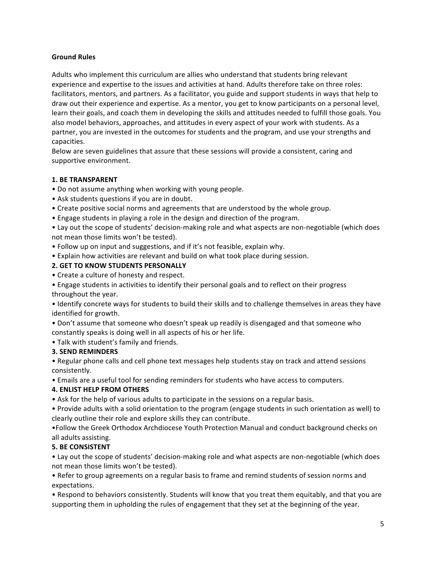#### **Ground Rules**

Adults who implement this curriculum are allies who understand that students bring relevant experience and expertise to the issues and activities at hand. Adults therefore take on three roles: facilitators, mentors, and partners. As a facilitator, you guide and support students in ways that help to draw out their experience and expertise. As a mentor, you get to know participants on a personal level, learn their goals, and coach them in developing the skills and attitudes needed to fulfill those goals. You also model behaviors, approaches, and attitudes in every aspect of your work with students. As a partner, you are invested in the outcomes for students and the program, and use your strengths and capacities.

Below are seven guidelines that assure that these sessions will provide a consistent, caring and supportive environment.

#### **1. BE TRANSPARENT**

- Do not assume anything when working with young people.
- Ask students questions if you are in doubt.
- Create positive social norms and agreements that are understood by the whole group.
- Engage students in playing a role in the design and direction of the program.

• Lay out the scope of students' decision-making role and what aspects are non-negotiable (which does not mean those limits won't be tested).

- Follow up on input and suggestions, and if it's not feasible, explain why.
- Explain how activities are relevant and build on what took place during session.

#### **2. GET TO KNOW STUDENTS PERSONALLY**

• Create a culture of honesty and respect.

• Engage students in activities to identify their personal goals and to reflect on their progress throughout the year.

• Identify concrete ways for students to build their skills and to challenge themselves in areas they have identified for growth.

• Don't assume that someone who doesn't speak up readily is disengaged and that someone who constantly speaks is doing well in all aspects of his or her life.

• Talk with student's family and friends.

#### **3. SEND REMINDERS**

• Regular phone calls and cell phone text messages help students stay on track and attend sessions consistently.

• Emails are a useful tool for sending reminders for students who have access to computers.

#### **4. ENLIST HELP FROM OTHERS**

• Ask for the help of various adults to participate in the sessions on a regular basis.

• Provide adults with a solid orientation to the program (engage students in such orientation as well) to clearly outline their role and explore skills they can contribute.

•Follow the Greek Orthodox Archdiocese Youth Protection Manual and conduct background checks on all adults assisting.

#### **5. BE CONSISTENT**

• Lay out the scope of students' decision-making role and what aspects are non-negotiable (which does not mean those limits won't be tested).

• Refer to group agreements on a regular basis to frame and remind students of session norms and expectations.

• Respond to behaviors consistently. Students will know that you treat them equitably, and that you are supporting them in upholding the rules of engagement that they set at the beginning of the year.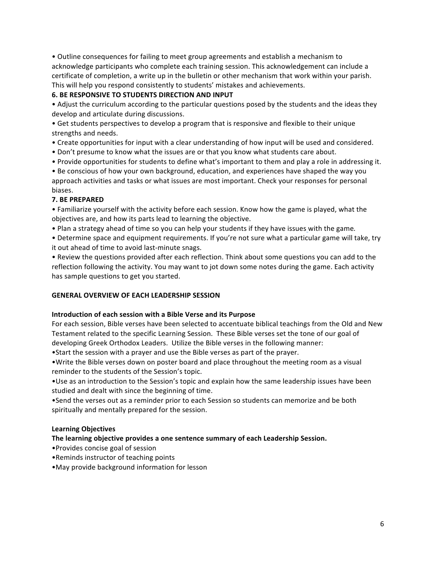• Outline consequences for failing to meet group agreements and establish a mechanism to acknowledge participants who complete each training session. This acknowledgement can include a certificate of completion, a write up in the bulletin or other mechanism that work within your parish. This will help you respond consistently to students' mistakes and achievements.

#### **6. BE RESPONSIVE TO STUDENTS DIRECTION AND INPUT**

• Adjust the curriculum according to the particular questions posed by the students and the ideas they develop and articulate during discussions.

• Get students perspectives to develop a program that is responsive and flexible to their unique strengths and needs.

• Create opportunities for input with a clear understanding of how input will be used and considered.

- Don't presume to know what the issues are or that you know what students care about.
- Provide opportunities for students to define what's important to them and play a role in addressing it.

• Be conscious of how your own background, education, and experiences have shaped the way you approach activities and tasks or what issues are most important. Check your responses for personal biases.

#### **7. BE PREPARED**

• Familiarize yourself with the activity before each session. Know how the game is played, what the objectives are, and how its parts lead to learning the objective.

• Plan a strategy ahead of time so you can help your students if they have issues with the game.

• Determine space and equipment requirements. If you're not sure what a particular game will take, try it out ahead of time to avoid last-minute snags.

• Review the questions provided after each reflection. Think about some questions you can add to the reflection following the activity. You may want to jot down some notes during the game. Each activity has sample questions to get you started.

#### **GENERAL OVERVIEW OF EACH LEADERSHIP SESSION**

#### **Introduction of each session with a Bible Verse and its Purpose**

For each session, Bible verses have been selected to accentuate biblical teachings from the Old and New Testament related to the specific Learning Session. These Bible verses set the tone of our goal of developing Greek Orthodox Leaders. Utilize the Bible verses in the following manner:

• Start the session with a prayer and use the Bible verses as part of the prayer.

• Write the Bible verses down on poster board and place throughout the meeting room as a visual reminder to the students of the Session's topic.

. Use as an introduction to the Session's topic and explain how the same leadership issues have been studied and dealt with since the beginning of time.

• Send the verses out as a reminder prior to each Session so students can memorize and be both spiritually and mentally prepared for the session.

#### **Learning Objectives**

#### The learning objective provides a one sentence summary of each Leadership Session.

- Provides concise goal of session
- •Reminds instructor of teaching points
- May provide background information for lesson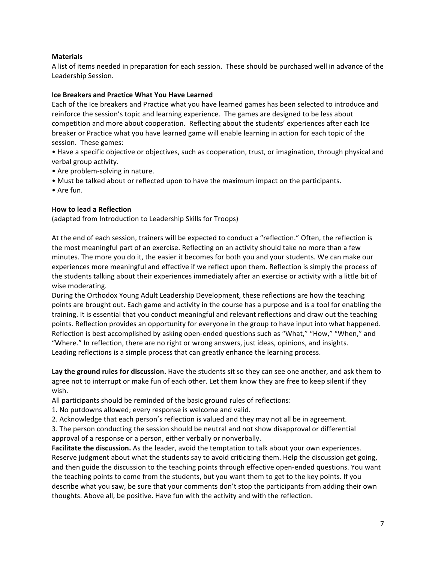#### **Materials**

A list of items needed in preparation for each session. These should be purchased well in advance of the Leadership Session.

#### **Ice Breakers and Practice What You Have Learned**

Each of the Ice breakers and Practice what you have learned games has been selected to introduce and reinforce the session's topic and learning experience. The games are designed to be less about competition and more about cooperation. Reflecting about the students' experiences after each Ice breaker or Practice what you have learned game will enable learning in action for each topic of the session. These games:

• Have a specific objective or objectives, such as cooperation, trust, or imagination, through physical and verbal group activity.

- Are problem-solving in nature.
- Must be talked about or reflected upon to have the maximum impact on the participants.
- • Are fun.

#### **How to lead a Reflection**

(adapted from Introduction to Leadership Skills for Troops)

At the end of each session, trainers will be expected to conduct a "reflection." Often, the reflection is the most meaningful part of an exercise. Reflecting on an activity should take no more than a few minutes. The more you do it, the easier it becomes for both you and your students. We can make our experiences more meaningful and effective if we reflect upon them. Reflection is simply the process of the students talking about their experiences immediately after an exercise or activity with a little bit of wise moderating.

During the Orthodox Young Adult Leadership Development, these reflections are how the teaching points are brought out. Each game and activity in the course has a purpose and is a tool for enabling the training. It is essential that you conduct meaningful and relevant reflections and draw out the teaching points. Reflection provides an opportunity for everyone in the group to have input into what happened. Reflection is best accomplished by asking open-ended questions such as "What," "How," "When," and "Where." In reflection, there are no right or wrong answers, just ideas, opinions, and insights. Leading reflections is a simple process that can greatly enhance the learning process.

Lay the ground rules for discussion. Have the students sit so they can see one another, and ask them to agree not to interrupt or make fun of each other. Let them know they are free to keep silent if they wish.

All participants should be reminded of the basic ground rules of reflections:

1. No putdowns allowed; every response is welcome and valid.

2. Acknowledge that each person's reflection is valued and they may not all be in agreement.

3. The person conducting the session should be neutral and not show disapproval or differential approval of a response or a person, either verbally or nonverbally.

**Facilitate the discussion.** As the leader, avoid the temptation to talk about your own experiences. Reserve judgment about what the students say to avoid criticizing them. Help the discussion get going, and then guide the discussion to the teaching points through effective open-ended questions. You want the teaching points to come from the students, but you want them to get to the key points. If you describe what you saw, be sure that your comments don't stop the participants from adding their own thoughts. Above all, be positive. Have fun with the activity and with the reflection.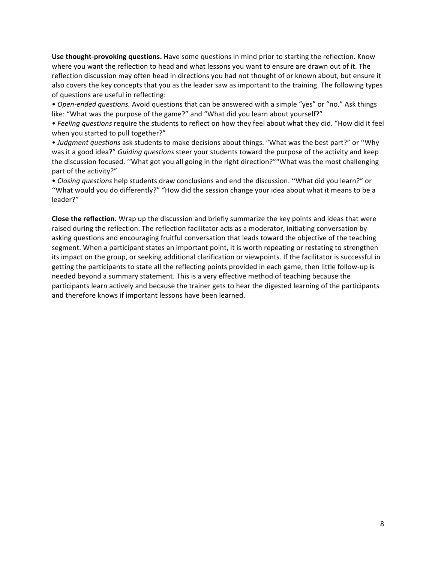**Use thought-provoking questions.** Have some questions in mind prior to starting the reflection. Know where you want the reflection to head and what lessons you want to ensure are drawn out of it. The reflection discussion may often head in directions you had not thought of or known about, but ensure it also covers the key concepts that you as the leader saw as important to the training. The following types of questions are useful in reflecting:

• Open-ended questions. Avoid questions that can be answered with a simple "yes" or "no." Ask things like: "What was the purpose of the game?" and "What did you learn about yourself?"

• Feeling questions require the students to reflect on how they feel about what they did. "How did it feel when you started to pull together?"

• Judgment questions ask students to make decisions about things. "What was the best part?" or "Why was it a good idea?" *Guiding questions* steer your students toward the purpose of the activity and keep the discussion focused. "What got you all going in the right direction?""What was the most challenging part of the activity?"

• *Closing questions* help students draw conclusions and end the discussion. "What did you learn?" or "What would you do differently?" "How did the session change your idea about what it means to be a leader?"

**Close the reflection.** Wrap up the discussion and briefly summarize the key points and ideas that were raised during the reflection. The reflection facilitator acts as a moderator, initiating conversation by asking questions and encouraging fruitful conversation that leads toward the objective of the teaching segment. When a participant states an important point, it is worth repeating or restating to strengthen its impact on the group, or seeking additional clarification or viewpoints. If the facilitator is successful in getting the participants to state all the reflecting points provided in each game, then little follow-up is needed beyond a summary statement. This is a very effective method of teaching because the participants learn actively and because the trainer gets to hear the digested learning of the participants and therefore knows if important lessons have been learned.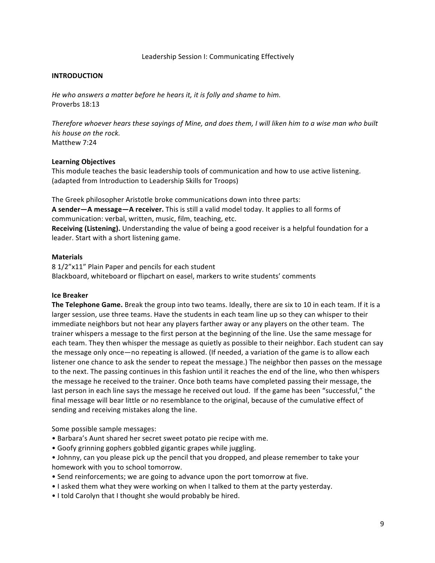#### Leadership Session I: Communicating Effectively

#### **INTRODUCTION**

*He* who answers a matter before he hears it, it is folly and shame to him. Proverbs 18:13

Therefore whoever hears these sayings of Mine, and does them, I will liken him to a wise man who built *his house on the rock.* Matthew 7:24

#### **Learning Objectives**

This module teaches the basic leadership tools of communication and how to use active listening. (adapted from Introduction to Leadership Skills for Troops)

The Greek philosopher Aristotle broke communications down into three parts: A sender—A message—A receiver. This is still a valid model today. It applies to all forms of communication: verbal, written, music, film, teaching, etc. **Receiving (Listening).** Understanding the value of being a good receiver is a helpful foundation for a leader. Start with a short listening game.

#### **Materials**

8 1/2"x11" Plain Paper and pencils for each student Blackboard, whiteboard or flipchart on easel, markers to write students' comments

#### **Ice Breaker**

The Telephone Game. Break the group into two teams. Ideally, there are six to 10 in each team. If it is a larger session, use three teams. Have the students in each team line up so they can whisper to their immediate neighbors but not hear any players farther away or any players on the other team. The trainer whispers a message to the first person at the beginning of the line. Use the same message for each team. They then whisper the message as quietly as possible to their neighbor. Each student can say the message only once—no repeating is allowed. (If needed, a variation of the game is to allow each listener one chance to ask the sender to repeat the message.) The neighbor then passes on the message to the next. The passing continues in this fashion until it reaches the end of the line, who then whispers the message he received to the trainer. Once both teams have completed passing their message, the last person in each line says the message he received out loud. If the game has been "successful," the final message will bear little or no resemblance to the original, because of the cumulative effect of sending and receiving mistakes along the line.

Some possible sample messages:

- Barbara's Aunt shared her secret sweet potato pie recipe with me.
- Goofy grinning gophers gobbled gigantic grapes while juggling.
- Johnny, can you please pick up the pencil that you dropped, and please remember to take your homework with you to school tomorrow.
- Send reinforcements; we are going to advance upon the port tomorrow at five.
- I asked them what they were working on when I talked to them at the party yesterday.
- I told Carolyn that I thought she would probably be hired.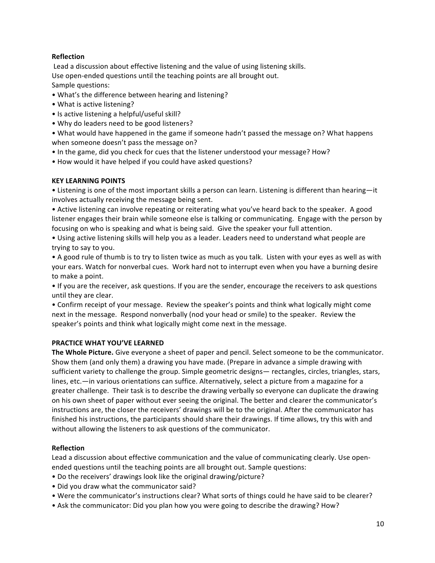#### **Reflection**

Lead a discussion about effective listening and the value of using listening skills. Use open-ended questions until the teaching points are all brought out. Sample questions:

- What's the difference between hearing and listening?
- What is active listening?
- Is active listening a helpful/useful skill?
- Why do leaders need to be good listeners?

• What would have happened in the game if someone hadn't passed the message on? What happens when someone doesn't pass the message on?

- In the game, did you check for cues that the listener understood your message? How?
- How would it have helped if you could have asked questions?

#### **KEY LEARNING POINTS**

• Listening is one of the most important skills a person can learn. Listening is different than hearing—it involves actually receiving the message being sent.

• Active listening can involve repeating or reiterating what you've heard back to the speaker. A good listener engages their brain while someone else is talking or communicating. Engage with the person by focusing on who is speaking and what is being said. Give the speaker your full attention.

• Using active listening skills will help you as a leader. Leaders need to understand what people are trying to say to you.

• A good rule of thumb is to try to listen twice as much as you talk. Listen with your eyes as well as with your ears. Watch for nonverbal cues. Work hard not to interrupt even when you have a burning desire to make a point.

• If you are the receiver, ask questions. If you are the sender, encourage the receivers to ask questions until they are clear.

• Confirm receipt of your message. Review the speaker's points and think what logically might come next in the message. Respond nonverbally (nod your head or smile) to the speaker. Review the speaker's points and think what logically might come next in the message.

#### **PRACTICE WHAT YOU'VE LEARNED**

**The Whole Picture.** Give everyone a sheet of paper and pencil. Select someone to be the communicator. Show them (and only them) a drawing you have made. (Prepare in advance a simple drawing with sufficient variety to challenge the group. Simple geometric designs— rectangles, circles, triangles, stars, lines, etc.—in various orientations can suffice. Alternatively, select a picture from a magazine for a greater challenge. Their task is to describe the drawing verbally so everyone can duplicate the drawing on his own sheet of paper without ever seeing the original. The better and clearer the communicator's instructions are, the closer the receivers' drawings will be to the original. After the communicator has finished his instructions, the participants should share their drawings. If time allows, try this with and without allowing the listeners to ask questions of the communicator.

#### **Reflection**

Lead a discussion about effective communication and the value of communicating clearly. Use openended questions until the teaching points are all brought out. Sample questions:

- Do the receivers' drawings look like the original drawing/picture?
- Did you draw what the communicator said?
- Were the communicator's instructions clear? What sorts of things could he have said to be clearer?
- Ask the communicator: Did you plan how you were going to describe the drawing? How?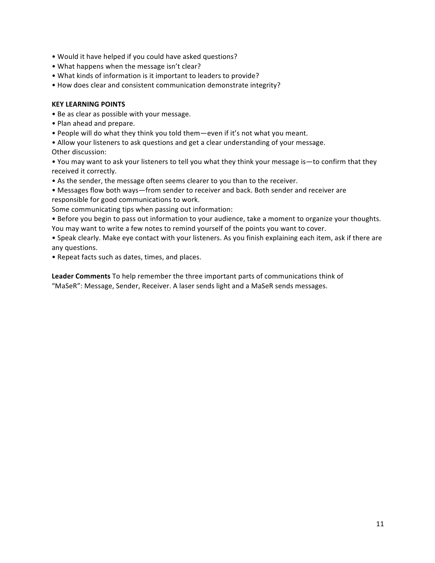- Would it have helped if you could have asked questions?
- What happens when the message isn't clear?
- What kinds of information is it important to leaders to provide?
- How does clear and consistent communication demonstrate integrity?

#### **KEY LEARNING POINTS**

- Be as clear as possible with your message.
- Plan ahead and prepare.
- People will do what they think you told them—even if it's not what you meant.
- Allow your listeners to ask questions and get a clear understanding of your message.
- Other discussion:

• You may want to ask your listeners to tell you what they think your message is—to confirm that they received it correctly.

• As the sender, the message often seems clearer to you than to the receiver.

• Messages flow both ways—from sender to receiver and back. Both sender and receiver are responsible for good communications to work.

- Some communicating tips when passing out information:
- Before you begin to pass out information to your audience, take a moment to organize your thoughts. You may want to write a few notes to remind yourself of the points you want to cover.

• Speak clearly. Make eye contact with your listeners. As you finish explaining each item, ask if there are any questions.

• Repeat facts such as dates, times, and places.

Leader Comments To help remember the three important parts of communications think of "MaSeR": Message, Sender, Receiver. A laser sends light and a MaSeR sends messages.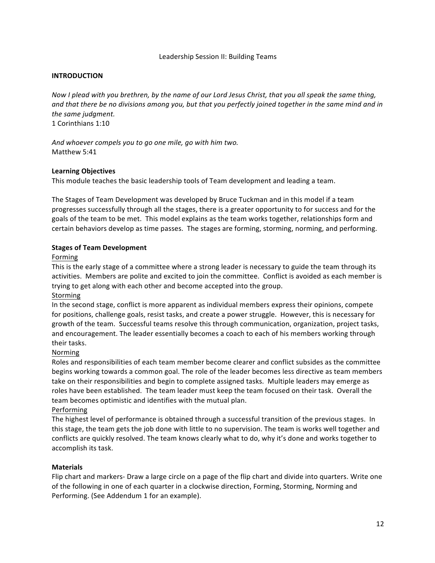#### Leadership Session II: Building Teams

#### **INTRODUCTION**

*Now I* plead with you brethren, by the name of our Lord Jesus Christ, that you all speak the same thing, and that there be no divisions among you, but that you perfectly joined together in the same mind and in the same judgment. 1 Corinthians 1:10

And whoever compels you to go one mile, go with him two. Matthew 5:41

#### **Learning Objectives**

This module teaches the basic leadership tools of Team development and leading a team.

The Stages of Team Development was developed by Bruce Tuckman and in this model if a team progresses successfully through all the stages, there is a greater opportunity to for success and for the goals of the team to be met. This model explains as the team works together, relationships form and certain behaviors develop as time passes. The stages are forming, storming, norming, and performing.

#### **Stages of Team Development**

#### Forming

This is the early stage of a committee where a strong leader is necessary to guide the team through its activities. Members are polite and excited to join the committee. Conflict is avoided as each member is trying to get along with each other and become accepted into the group.

#### Storming

In the second stage, conflict is more apparent as individual members express their opinions, compete for positions, challenge goals, resist tasks, and create a power struggle. However, this is necessary for growth of the team. Successful teams resolve this through communication, organization, project tasks, and encouragement. The leader essentially becomes a coach to each of his members working through their tasks.

#### Norming

Roles and responsibilities of each team member become clearer and conflict subsides as the committee begins working towards a common goal. The role of the leader becomes less directive as team members take on their responsibilities and begin to complete assigned tasks. Multiple leaders may emerge as roles have been established. The team leader must keep the team focused on their task. Overall the team becomes optimistic and identifies with the mutual plan.

#### Performing

The highest level of performance is obtained through a successful transition of the previous stages. In this stage, the team gets the job done with little to no supervision. The team is works well together and conflicts are quickly resolved. The team knows clearly what to do, why it's done and works together to accomplish its task.

#### **Materials**

Flip chart and markers- Draw a large circle on a page of the flip chart and divide into quarters. Write one of the following in one of each quarter in a clockwise direction, Forming, Storming, Norming and Performing. (See Addendum 1 for an example).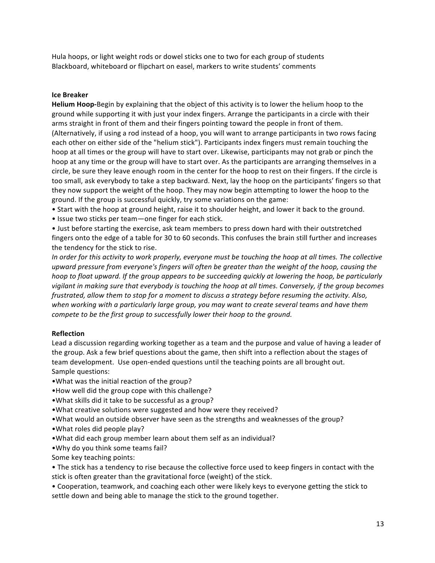Hula hoops, or light weight rods or dowel sticks one to two for each group of students Blackboard, whiteboard or flipchart on easel, markers to write students' comments

#### **Ice Breaker**

**Helium Hoop-**Begin by explaining that the object of this activity is to lower the helium hoop to the ground while supporting it with just your index fingers. Arrange the participants in a circle with their arms straight in front of them and their fingers pointing toward the people in front of them. (Alternatively, if using a rod instead of a hoop, you will want to arrange participants in two rows facing each other on either side of the "helium stick"). Participants index fingers must remain touching the hoop at all times or the group will have to start over. Likewise, participants may not grab or pinch the hoop at any time or the group will have to start over. As the participants are arranging themselves in a circle, be sure they leave enough room in the center for the hoop to rest on their fingers. If the circle is too small, ask everybody to take a step backward. Next, lay the hoop on the participants' fingers so that they now support the weight of the hoop. They may now begin attempting to lower the hoop to the ground. If the group is successful quickly, try some variations on the game:

- Start with the hoop at ground height, raise it to shoulder height, and lower it back to the ground.
- Issue two sticks per team—one finger for each stick.

• Just before starting the exercise, ask team members to press down hard with their outstretched fingers onto the edge of a table for 30 to 60 seconds. This confuses the brain still further and increases the tendency for the stick to rise.

*In* order for this activity to work properly, everyone must be touching the hoop at all times. The collective upward pressure from everyone's fingers will often be greater than the weight of the hoop, causing the *hoop* to float upward. If the group appears to be succeeding quickly at lowering the hoop, be particularly *vigilant in making sure that everybody is touching the hoop at all times. Conversely, if the group becomes frustrated, allow them to stop for a moment to discuss a strategy before resuming the activity. Also,* when working with a particularly large group, you may want to create several teams and have them *compete to be the first group to successfully lower their hoop to the ground.* 

#### **Reflection**

Lead a discussion regarding working together as a team and the purpose and value of having a leader of the group. Ask a few brief questions about the game, then shift into a reflection about the stages of team development. Use open-ended questions until the teaching points are all brought out. Sample questions:

- •What was the initial reaction of the group?
- •How well did the group cope with this challenge?
- . What skills did it take to be successful as a group?
- What creative solutions were suggested and how were they received?
- . What would an outside observer have seen as the strengths and weaknesses of the group?
- What roles did people play?
- •What did each group member learn about them self as an individual?
- •Why do you think some teams fail?
- Some key teaching points:
- The stick has a tendency to rise because the collective force used to keep fingers in contact with the stick is often greater than the gravitational force (weight) of the stick.
- Cooperation, teamwork, and coaching each other were likely keys to everyone getting the stick to settle down and being able to manage the stick to the ground together.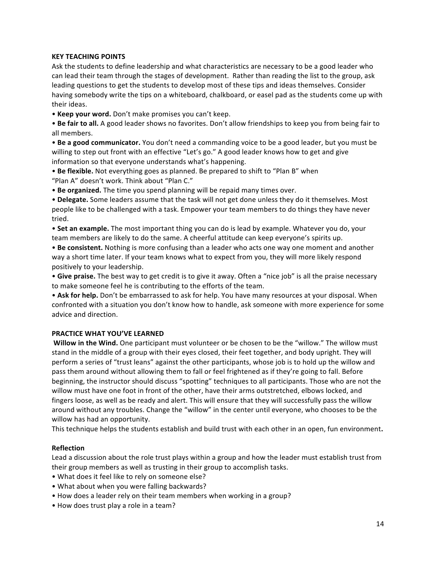#### **KEY TEACHING POINTS**

Ask the students to define leadership and what characteristics are necessary to be a good leader who can lead their team through the stages of development. Rather than reading the list to the group, ask leading questions to get the students to develop most of these tips and ideas themselves. Consider having somebody write the tips on a whiteboard, chalkboard, or easel pad as the students come up with their ideas.

• **Keep your word.** Don't make promises you can't keep.

• Be fair to all. A good leader shows no favorites. Don't allow friendships to keep you from being fair to all members.

• Be a good communicator. You don't need a commanding voice to be a good leader, but you must be willing to step out front with an effective "Let's go." A good leader knows how to get and give information so that everyone understands what's happening.

• Be flexible. Not everything goes as planned. Be prepared to shift to "Plan B" when "Plan A" doesn't work. Think about "Plan C."

• Be organized. The time you spend planning will be repaid many times over.

• Delegate. Some leaders assume that the task will not get done unless they do it themselves. Most people like to be challenged with a task. Empower your team members to do things they have never tried.

• **Set an example.** The most important thing you can do is lead by example. Whatever you do, your team members are likely to do the same. A cheerful attitude can keep everyone's spirits up.

• Be consistent. Nothing is more confusing than a leader who acts one way one moment and another way a short time later. If your team knows what to expect from you, they will more likely respond positively to your leadership.

• Give praise. The best way to get credit is to give it away. Often a "nice job" is all the praise necessary to make someone feel he is contributing to the efforts of the team.

• Ask for help. Don't be embarrassed to ask for help. You have many resources at your disposal. When confronted with a situation you don't know how to handle, ask someone with more experience for some advice and direction.

#### **PRACTICE WHAT YOU'VE LEARNED**

**Willow in the Wind.** One participant must volunteer or be chosen to be the "willow." The willow must stand in the middle of a group with their eyes closed, their feet together, and body upright. They will perform a series of "trust leans" against the other participants, whose job is to hold up the willow and pass them around without allowing them to fall or feel frightened as if they're going to fall. Before beginning, the instructor should discuss "spotting" techniques to all participants. Those who are not the willow must have one foot in front of the other, have their arms outstretched, elbows locked, and fingers loose, as well as be ready and alert. This will ensure that they will successfully pass the willow around without any troubles. Change the "willow" in the center until everyone, who chooses to be the willow has had an opportunity.

This technique helps the students establish and build trust with each other in an open, fun environment.

#### **Reflection**

Lead a discussion about the role trust plays within a group and how the leader must establish trust from their group members as well as trusting in their group to accomplish tasks.

- What does it feel like to rely on someone else?
- What about when you were falling backwards?
- How does a leader rely on their team members when working in a group?
- How does trust play a role in a team?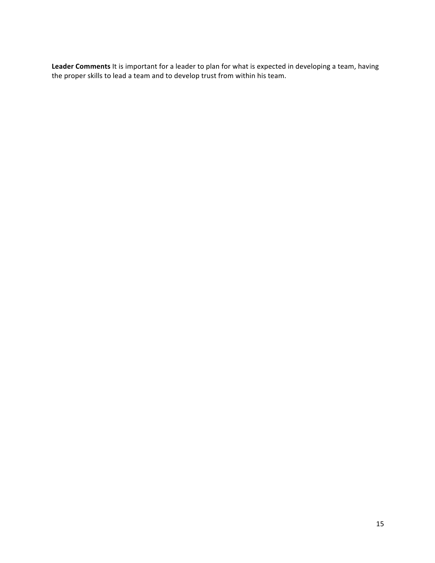Leader Comments It is important for a leader to plan for what is expected in developing a team, having the proper skills to lead a team and to develop trust from within his team.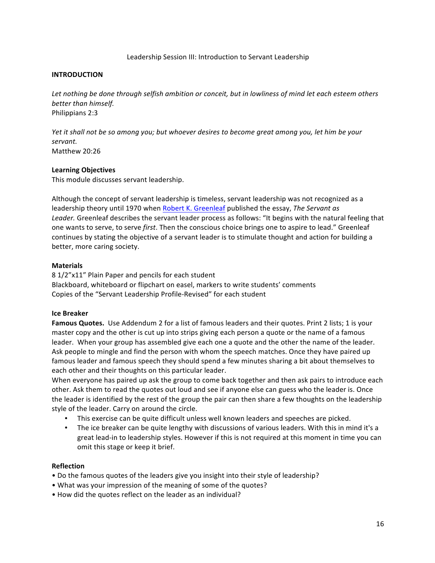#### Leadership Session III: Introduction to Servant Leadership

#### **INTRODUCTION**

Let nothing be done through selfish ambition or conceit, but in lowliness of mind let each esteem others *better than himself.* Philippians 2:3

*Yet it shall not be so among you; but whoever desires to become great among you, let him be your servant.* Matthew 20:26

#### **Learning Objectives**

This module discusses servant leadership.

Although the concept of servant leadership is timeless, servant leadership was not recognized as a leadership theory until 1970 when Robert K. Greenleaf published the essay, *The Servant as* Leader. Greenleaf describes the servant leader process as follows: "It begins with the natural feeling that one wants to serve, to serve *first*. Then the conscious choice brings one to aspire to lead." Greenleaf continues by stating the objective of a servant leader is to stimulate thought and action for building a better, more caring society.

#### **Materials**

8 1/2"x11" Plain Paper and pencils for each student Blackboard, whiteboard or flipchart on easel, markers to write students' comments Copies of the "Servant Leadership Profile-Revised" for each student

#### **Ice Breaker**

**Famous Quotes.** Use Addendum 2 for a list of famous leaders and their quotes. Print 2 lists; 1 is your master copy and the other is cut up into strips giving each person a quote or the name of a famous leader. When your group has assembled give each one a quote and the other the name of the leader. Ask people to mingle and find the person with whom the speech matches. Once they have paired up famous leader and famous speech they should spend a few minutes sharing a bit about themselves to each other and their thoughts on this particular leader.

When everyone has paired up ask the group to come back together and then ask pairs to introduce each other. Ask them to read the quotes out loud and see if anyone else can guess who the leader is. Once the leader is identified by the rest of the group the pair can then share a few thoughts on the leadership style of the leader. Carry on around the circle.

- This exercise can be quite difficult unless well known leaders and speeches are picked.
- The ice breaker can be quite lengthy with discussions of various leaders. With this in mind it's a great lead-in to leadership styles. However if this is not required at this moment in time you can omit this stage or keep it brief.

#### **Reflection**

- Do the famous quotes of the leaders give you insight into their style of leadership?
- What was your impression of the meaning of some of the quotes?
- How did the quotes reflect on the leader as an individual?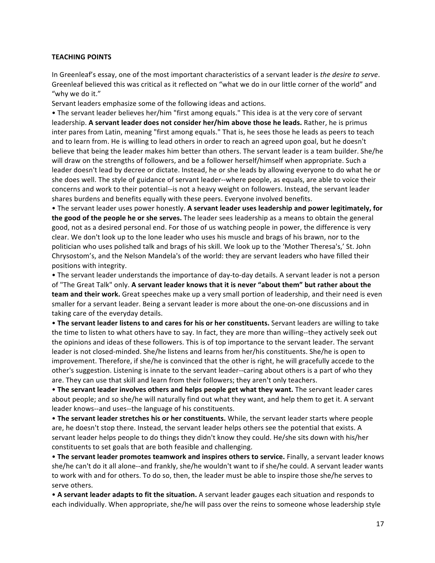#### **TEACHING POINTS**

In Greenleaf's essay, one of the most important characteristics of a servant leader is the *desire to serve*. Greenleaf believed this was critical as it reflected on "what we do in our little corner of the world" and "why we do it."

Servant leaders emphasize some of the following ideas and actions.

• The servant leader believes her/him "first among equals." This idea is at the very core of servant leadership. A servant leader does not consider her/him above those he leads. Rather, he is primus inter pares from Latin, meaning "first among equals." That is, he sees those he leads as peers to teach and to learn from. He is willing to lead others in order to reach an agreed upon goal, but he doesn't believe that being the leader makes him better than others. The servant leader is a team builder. She/he will draw on the strengths of followers, and be a follower herself/himself when appropriate. Such a leader doesn't lead by decree or dictate. Instead, he or she leads by allowing everyone to do what he or she does well. The style of guidance of servant leader--where people, as equals, are able to voice their concerns and work to their potential--is not a heavy weight on followers. Instead, the servant leader shares burdens and benefits equally with these peers. Everyone involved benefits.

• The servant leader uses power honestly. A servant leader uses leadership and power legitimately, for **the good of the people he or she serves.** The leader sees leadership as a means to obtain the general good, not as a desired personal end. For those of us watching people in power, the difference is very clear. We don't look up to the lone leader who uses his muscle and brags of his brawn, nor to the politician who uses polished talk and brags of his skill. We look up to the 'Mother Theresa's,' St. John Chrysostom's, and the Nelson Mandela's of the world: they are servant leaders who have filled their positions with integrity.

• The servant leader understands the importance of day-to-day details. A servant leader is not a person of "The Great Talk" only. A servant leader knows that it is never "about them" but rather about the **team and their work.** Great speeches make up a very small portion of leadership, and their need is even smaller for a servant leader. Being a servant leader is more about the one-on-one discussions and in taking care of the everyday details.

• The servant leader listens to and cares for his or her constituents. Servant leaders are willing to take the time to listen to what others have to say. In fact, they are more than willing--they actively seek out the opinions and ideas of these followers. This is of top importance to the servant leader. The servant leader is not closed-minded. She/he listens and learns from her/his constituents. She/he is open to improvement. Therefore, if she/he is convinced that the other is right, he will gracefully accede to the other's suggestion. Listening is innate to the servant leader--caring about others is a part of who they are. They can use that skill and learn from their followers; they aren't only teachers.

• The servant leader involves others and helps people get what they want. The servant leader cares about people; and so she/he will naturally find out what they want, and help them to get it. A servant leader knows--and uses--the language of his constituents.

• The servant leader stretches his or her constituents. While, the servant leader starts where people are, he doesn't stop there. Instead, the servant leader helps others see the potential that exists. A servant leader helps people to do things they didn't know they could. He/she sits down with his/her constituents to set goals that are both feasible and challenging.

• The servant leader promotes teamwork and inspires others to service. Finally, a servant leader knows she/he can't do it all alone--and frankly, she/he wouldn't want to if she/he could. A servant leader wants to work with and for others. To do so, then, the leader must be able to inspire those she/he serves to serve others.

• A servant leader adapts to fit the situation. A servant leader gauges each situation and responds to each individually. When appropriate, she/he will pass over the reins to someone whose leadership style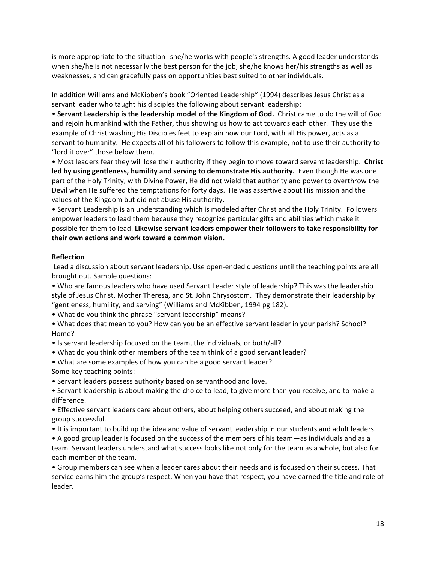is more appropriate to the situation--she/he works with people's strengths. A good leader understands when she/he is not necessarily the best person for the job; she/he knows her/his strengths as well as weaknesses, and can gracefully pass on opportunities best suited to other individuals.

In addition Williams and McKibben's book "Oriented Leadership" (1994) describes Jesus Christ as a servant leader who taught his disciples the following about servant leadership:

• Servant Leadership is the leadership model of the Kingdom of God. Christ came to do the will of God and rejoin humankind with the Father, thus showing us how to act towards each other. They use the example of Christ washing His Disciples feet to explain how our Lord, with all His power, acts as a servant to humanity. He expects all of his followers to follow this example, not to use their authority to "lord it over" those below them.

• Most leaders fear they will lose their authority if they begin to move toward servant leadership. Christ led by using gentleness, humility and serving to demonstrate His authority. Even though He was one part of the Holy Trinity, with Divine Power, He did not wield that authority and power to overthrow the Devil when He suffered the temptations for forty days. He was assertive about His mission and the values of the Kingdom but did not abuse His authority.

• Servant Leadership is an understanding which is modeled after Christ and the Holy Trinity. Followers empower leaders to lead them because they recognize particular gifts and abilities which make it possible for them to lead. Likewise servant leaders empower their followers to take responsibility for **their own actions and work toward a common vision.** 

#### **Reflection**

Lead a discussion about servant leadership. Use open-ended questions until the teaching points are all brought out. Sample questions:

• Who are famous leaders who have used Servant Leader style of leadership? This was the leadership style of Jesus Christ, Mother Theresa, and St. John Chrysostom. They demonstrate their leadership by "gentleness, humility, and serving" (Williams and McKibben, 1994 pg 182).

• What do you think the phrase "servant leadership" means?

• What does that mean to you? How can you be an effective servant leader in your parish? School? Home?

• Is servant leadership focused on the team, the individuals, or both/all?

- What do you think other members of the team think of a good servant leader?
- What are some examples of how you can be a good servant leader? Some key teaching points:
- Servant leaders possess authority based on servanthood and love.
- Servant leadership is about making the choice to lead, to give more than you receive, and to make a difference.

• Effective servant leaders care about others, about helping others succeed, and about making the group successful.

• It is important to build up the idea and value of servant leadership in our students and adult leaders.

• A good group leader is focused on the success of the members of his team—as individuals and as a team. Servant leaders understand what success looks like not only for the team as a whole, but also for each member of the team.

• Group members can see when a leader cares about their needs and is focused on their success. That service earns him the group's respect. When you have that respect, you have earned the title and role of leader.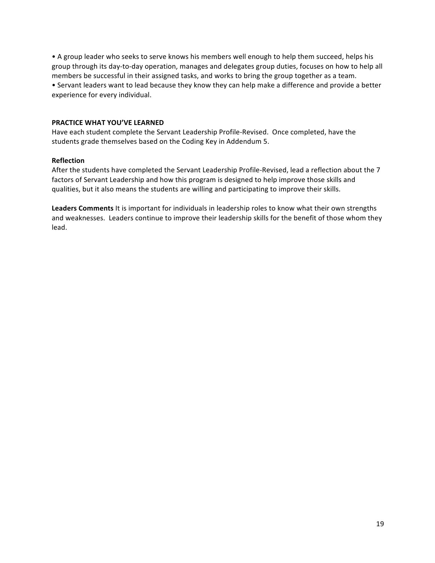• A group leader who seeks to serve knows his members well enough to help them succeed, helps his group through its day-to-day operation, manages and delegates group duties, focuses on how to help all members be successful in their assigned tasks, and works to bring the group together as a team. • Servant leaders want to lead because they know they can help make a difference and provide a better experience for every individual.

#### **PRACTICE WHAT YOU'VE LEARNED**

Have each student complete the Servant Leadership Profile-Revised. Once completed, have the students grade themselves based on the Coding Key in Addendum 5.

#### **Reflection**

After the students have completed the Servant Leadership Profile-Revised, lead a reflection about the 7 factors of Servant Leadership and how this program is designed to help improve those skills and qualities, but it also means the students are willing and participating to improve their skills.

**Leaders Comments** It is important for individuals in leadership roles to know what their own strengths and weaknesses. Leaders continue to improve their leadership skills for the benefit of those whom they lead.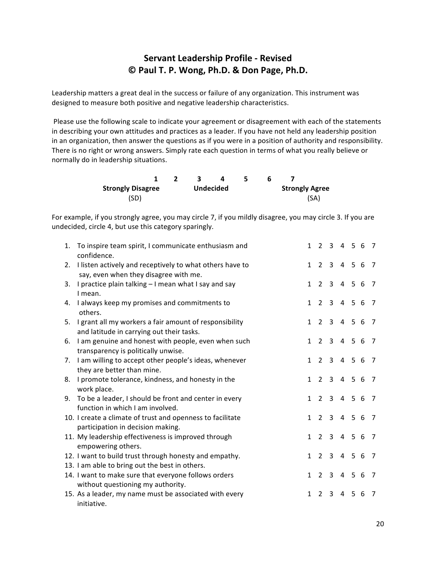## **Servant Leadership Profile - Revised © Paul T. P. Wong, Ph.D. & Don Page, Ph.D.**

Leadership matters a great deal in the success or failure of any organization. This instrument was designed to measure both positive and negative leadership characteristics.

Please use the following scale to indicate your agreement or disagreement with each of the statements in describing your own attitudes and practices as a leader. If you have not held any leadership position in an organization, then answer the questions as if you were in a position of authority and responsibility. There is no right or wrong answers. Simply rate each question in terms of what you really believe or normally do in leadership situations.

|                          |                  |  | 4 |  |                       |      |  |  |
|--------------------------|------------------|--|---|--|-----------------------|------|--|--|
| <b>Strongly Disagree</b> | <b>Undecided</b> |  |   |  | <b>Strongly Agree</b> |      |  |  |
| (SD)                     |                  |  |   |  |                       | (SA) |  |  |

For example, if you strongly agree, you may circle 7, if you mildly disagree, you may circle 3. If you are undecided, circle 4, but use this category sparingly.

| 1. | To inspire team spirit, I communicate enthusiasm and<br>confidence.                                      |              |                | 1 2 3 4 5 6 7  |         |   |         |                |
|----|----------------------------------------------------------------------------------------------------------|--------------|----------------|----------------|---------|---|---------|----------------|
| 2. | I listen actively and receptively to what others have to<br>say, even when they disagree with me.        | $\mathbf{1}$ |                | 2 3 4 5 6      |         |   |         | $\overline{7}$ |
| 3. | I practice plain talking - I mean what I say and say<br>I mean.                                          | $\mathbf{1}$ | $\overline{2}$ | $\overline{3}$ |         |   | 4 5 6 7 |                |
| 4. | I always keep my promises and commitments to<br>others.                                                  | $\mathbf{1}$ | 2              | $\mathbf{3}$   | 4 5 6   |   |         | $\overline{7}$ |
| 5. | I grant all my workers a fair amount of responsibility<br>and latitude in carrying out their tasks.      | $\mathbf{1}$ | $2^{\circ}$    | $\overline{3}$ | 4 5 6   |   |         | -7             |
|    | 6. I am genuine and honest with people, even when such<br>transparency is politically unwise.            | $\mathbf{1}$ |                | $2 \quad 3$    | 4 5 6   |   |         | -7             |
|    | 7. I am willing to accept other people's ideas, whenever<br>they are better than mine.                   | 1            | $\overline{2}$ | $\overline{3}$ | 4 5 6   |   |         | $\overline{7}$ |
| 8. | I promote tolerance, kindness, and honesty in the<br>work place.                                         | $\mathbf{1}$ | 2              | $\overline{3}$ | 4 5 6   |   |         | - 7            |
| 9. | To be a leader, I should be front and center in every<br>function in which I am involved.                | $\mathbf{1}$ | $2^{\circ}$    |                | 3 4 5 6 |   |         | $\overline{7}$ |
|    | 10. I create a climate of trust and openness to facilitate<br>participation in decision making.          | $\mathbf{1}$ |                | 2 3 4 5 6 7    |         |   |         |                |
|    | 11. My leadership effectiveness is improved through<br>empowering others.                                | $\mathbf{1}$ |                | $2 \quad 3$    | 4 5 6   |   |         | - 7            |
|    | 12. I want to build trust through honesty and empathy.<br>13. I am able to bring out the best in others. | $\mathbf{1}$ | $2^{\circ}$    | $\mathbf{3}$   | 4 5 6   |   |         | $\overline{7}$ |
|    | 14. I want to make sure that everyone follows orders<br>without questioning my authority.                | $\mathbf{1}$ | $\overline{2}$ | 3              | 4 5 6   |   |         | - 7            |
|    | 15. As a leader, my name must be associated with every<br>initiative.                                    | $\mathbf{1}$ | $\overline{2}$ | 3              | 4       | 5 | 6       | 7              |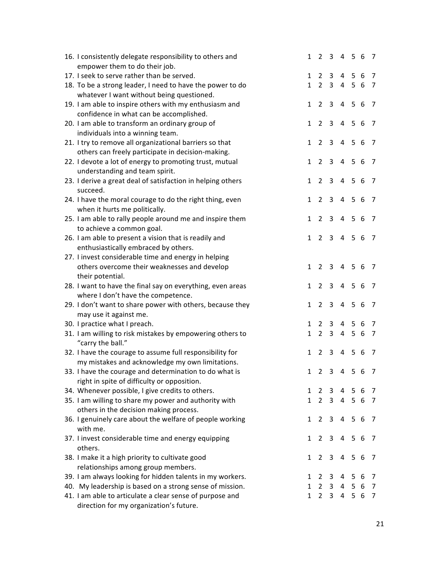| 16. I consistently delegate responsibility to others and    | $\mathbf{1}$   | $\overline{2}$ | 3 4 5 6 7                |                |       |    |                |
|-------------------------------------------------------------|----------------|----------------|--------------------------|----------------|-------|----|----------------|
| empower them to do their job.                               |                |                |                          |                |       |    |                |
| 17. I seek to serve rather than be served.                  | $\mathbf{1}$   | $\overline{2}$ | $\mathbf{3}$             |                | 4 5 6 |    | 7              |
| 18. To be a strong leader, I need to have the power to do   | $\mathbf{1}$   | $2^{\circ}$    |                          | 3 4 5 6        |       |    | $\overline{7}$ |
| whatever I want without being questioned.                   |                |                |                          |                |       |    |                |
| 19. I am able to inspire others with my enthusiasm and      | $\mathbf{1}$   | $\overline{2}$ | 3                        | $\overline{4}$ | 5 6   |    | $\overline{7}$ |
| confidence in what can be accomplished.                     |                |                |                          |                |       |    |                |
| 20. I am able to transform an ordinary group of             | $\mathbf{1}$   | $\overline{2}$ | 3                        | $\overline{4}$ | 5 6   |    | - 7            |
| individuals into a winning team.                            |                |                |                          |                |       |    |                |
| 21. I try to remove all organizational barriers so that     | $\mathbf{1}$   | $2^{\circ}$    | $\overline{3}$           |                | 4 5 6 |    | $\overline{7}$ |
| others can freely participate in decision-making.           |                |                |                          |                |       |    |                |
| 22. I devote a lot of energy to promoting trust, mutual     | $\mathbf{1}$   | $\overline{2}$ | 3                        | $\overline{4}$ | 5 6   |    | - 7            |
| understanding and team spirit.                              |                |                |                          |                |       |    |                |
|                                                             | $\mathbf{1}$   | $\overline{2}$ | $\overline{3}$           | $\overline{4}$ | 5 6   |    | $\overline{7}$ |
| 23. I derive a great deal of satisfaction in helping others |                |                |                          |                |       |    |                |
| succeed.                                                    |                |                |                          |                |       |    |                |
| 24. I have the moral courage to do the right thing, even    | $\mathbf{1}$   | $\overline{2}$ | 3                        | 4              | 5     | 6  | -7             |
| when it hurts me politically.                               |                |                |                          |                |       |    |                |
| 25. I am able to rally people around me and inspire them    | $\mathbf{1}$   | $\overline{2}$ | $\mathbf{3}$             | $\overline{4}$ | 5 6   |    | $\overline{7}$ |
| to achieve a common goal.                                   |                |                |                          |                |       |    |                |
| 26. I am able to present a vision that is readily and       | $\mathbf{1}$   | $\overline{2}$ | 3 <sup>7</sup>           | $\overline{4}$ | 5 6   |    | - 7            |
| enthusiastically embraced by others.                        |                |                |                          |                |       |    |                |
| 27. I invest considerable time and energy in helping        |                |                |                          |                |       |    |                |
| others overcome their weaknesses and develop                | $\mathbf{1}$   | $2^{\circ}$    | $\mathbf{3}$             | $\overline{4}$ | 5 6   |    | 7              |
| their potential.                                            |                |                |                          |                |       |    |                |
| 28. I want to have the final say on everything, even areas  | 1              | 2              | 3                        | 4              | 5 6   |    | -7             |
| where I don't have the competence.                          |                |                |                          |                |       |    |                |
| 29. I don't want to share power with others, because they   | $\mathbf{1}$   | $2^{\circ}$    | $\mathbf{3}$             |                | 4 5 6 |    | $\overline{7}$ |
| may use it against me.                                      |                |                |                          |                |       |    |                |
| 30. I practice what I preach.                               | 1              | 2              | 3                        | $\overline{4}$ | - 5   | -6 | - 7            |
| 31. I am willing to risk mistakes by empowering others to   | $\mathbf{1}$   | $\overline{2}$ | $\mathbf{3}$             |                | 4 5 6 |    | $\overline{7}$ |
| "carry the ball."                                           |                |                |                          |                |       |    |                |
| 32. I have the courage to assume full responsibility for    | $\mathbf{1}$   | $\overline{2}$ | 3                        | $\overline{4}$ | 5 6   |    | - 7            |
| my mistakes and acknowledge my own limitations.             |                |                |                          |                |       |    |                |
| 33. I have the courage and determination to do what is      |                |                | 2 3 4 5 6 7              |                |       |    |                |
| right in spite of difficulty or opposition.                 |                |                |                          |                |       |    |                |
| 34. Whenever possible, I give credits to others.            | 1              |                | 2 3 4 5 6                |                |       |    | $\overline{7}$ |
| 35. I am willing to share my power and authority with       | 1              |                | 2 3 4 5 6 7              |                |       |    |                |
| others in the decision making process.                      |                |                |                          |                |       |    |                |
| 36. I genuinely care about the welfare of people working    | $\mathbf{1}$   |                | 2 3 4 5 6                |                |       |    | 7              |
| with me.                                                    |                |                |                          |                |       |    |                |
| 37. I invest considerable time and energy equipping         | $\mathbf{1}$   |                | 2 3 4 5 6                |                |       |    | 7              |
| others.                                                     |                |                |                          |                |       |    |                |
| 38. I make it a high priority to cultivate good             | $\mathbf{1}$   | $\overline{2}$ | 3 <sup>1</sup>           | $\overline{4}$ | 56    |    | 7              |
| relationships among group members.                          |                |                |                          |                |       |    |                |
|                                                             |                |                |                          |                |       |    |                |
| 39. I am always looking for hidden talents in my workers.   | 1<br>$1 \quad$ |                | 2 3 4 5 6<br>2 3 4 5 6 7 |                |       |    | - 7            |
| 40. My leadership is based on a strong sense of mission.    |                |                |                          |                |       |    |                |
| 41. I am able to articulate a clear sense of purpose and    | $\mathbf{1}$   |                | 2 3 4 5 6 7              |                |       |    |                |
| direction for my organization's future.                     |                |                |                          |                |       |    |                |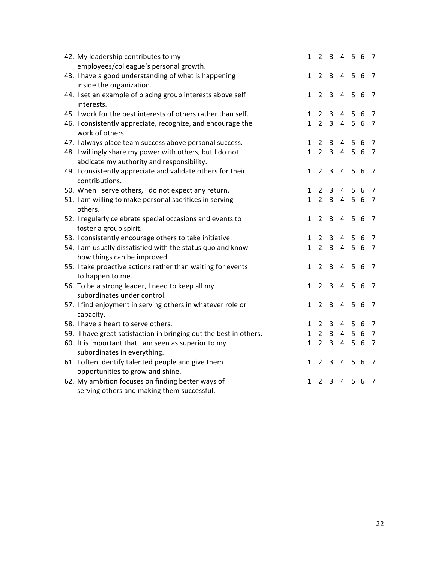| 42. My leadership contributes to my                                            | $\mathbf{1}$ |                       | 2 3 4 5 6 7    |                |                |   |                |
|--------------------------------------------------------------------------------|--------------|-----------------------|----------------|----------------|----------------|---|----------------|
| employees/colleague's personal growth.                                         |              |                       |                |                |                |   |                |
| 43. I have a good understanding of what is happening                           | $\mathbf{1}$ | $2^{\circ}$           | $\mathbf{3}$   | 4 5 6          |                |   | 7              |
| inside the organization.                                                       |              |                       |                |                |                |   |                |
| 44. I set an example of placing group interests above self                     | $\mathbf{1}$ | $2^{\circ}$           | 3              |                | 4 5 6          |   | 7              |
| interests.                                                                     |              |                       |                |                |                |   |                |
| 45. I work for the best interests of others rather than self.                  | 1            | $\overline{2}$        | 3              | 4              | 56             |   | 7              |
| 46. I consistently appreciate, recognize, and encourage the<br>work of others. | $\mathbf{1}$ | $\overline{2}$        | $\mathbf{3}$   | $\overline{4}$ | 56             |   | 7              |
| 47. I always place team success above personal success.                        | 1            | $\mathbf{2}^{\prime}$ | 3              | 4              | 5 6            |   | 7              |
| 48. I willingly share my power with others, but I do not                       | $\mathbf{1}$ | $\overline{2}$        | $\mathbf{3}$   | $\overline{4}$ | 5 6            |   | 7              |
| abdicate my authority and responsibility.                                      |              |                       |                |                |                |   |                |
| 49. I consistently appreciate and validate others for their                    | $\mathbf{1}$ | $\overline{2}$        | 3              | $\overline{4}$ | 5 <sup>1</sup> | 6 | 7              |
| contributions.                                                                 |              |                       |                |                |                |   |                |
| 50. When I serve others, I do not expect any return.                           | 1            | $\overline{2}$        | 3              | 4              | 5 6            |   | 7              |
| 51. I am willing to make personal sacrifices in serving                        | $\mathbf{1}$ | $2^{\circ}$           | $\mathbf{3}$   |                | 4 5 6          |   | 7              |
| others.                                                                        |              |                       |                |                |                |   |                |
| 52. I regularly celebrate special occasions and events to                      | $\mathbf{1}$ | $\overline{2}$        | 3              | $\overline{4}$ | 56             |   | 7              |
| foster a group spirit.                                                         |              |                       |                |                |                |   |                |
| 53. I consistently encourage others to take initiative.                        | 1            | $\overline{2}$        | 3              | 4              | 56             |   | 7              |
| 54. I am usually dissatisfied with the status quo and know                     | $\mathbf{1}$ | $\overline{2}$        | $\overline{3}$ | $\overline{4}$ | 5 6            |   | 7              |
| how things can be improved.                                                    |              |                       |                |                |                |   |                |
| 55. I take proactive actions rather than waiting for events                    | 1            | $\overline{2}$        | $\mathbf{3}$   | $\overline{4}$ | 5 6            |   | 7              |
| to happen to me.                                                               |              |                       |                |                |                |   |                |
| 56. To be a strong leader, I need to keep all my                               | $\mathbf{1}$ | $\overline{2}$        | $\overline{3}$ |                | 4 5 6          |   | 7              |
| subordinates under control.                                                    |              |                       |                |                |                |   |                |
| 57. I find enjoyment in serving others in whatever role or                     | 1            | $\overline{2}$        | $\mathbf{3}$   | 4 5 6          |                |   | 7              |
| capacity.                                                                      |              |                       |                |                |                |   |                |
| 58. I have a heart to serve others.                                            | 1            | $\mathbf{2}^{\prime}$ | 3              | 4              | 56             |   | 7              |
| 59. I have great satisfaction in bringing out the best in others.              | $\mathbf{1}$ | $2^{\circ}$           | $\mathbf{3}$   |                | 4 5 6          |   | $\overline{7}$ |
| 60. It is important that I am seen as superior to my                           | $\mathbf{1}$ | $\overline{2}$        | $\mathbf{3}$   |                | 4 5 6          |   | 7              |
| subordinates in everything.                                                    |              |                       |                |                |                |   |                |
| 61. I often identify talented people and give them                             | $\mathbf{1}$ | $\overline{2}$        | 3              | 4              | 5 6            |   | -7             |
| opportunities to grow and shine.                                               |              |                       |                |                |                |   |                |
| 62. My ambition focuses on finding better ways of                              | 1            | 2                     | 3              | 4              | 5              | 6 | 7              |
| serving others and making them successful.                                     |              |                       |                |                |                |   |                |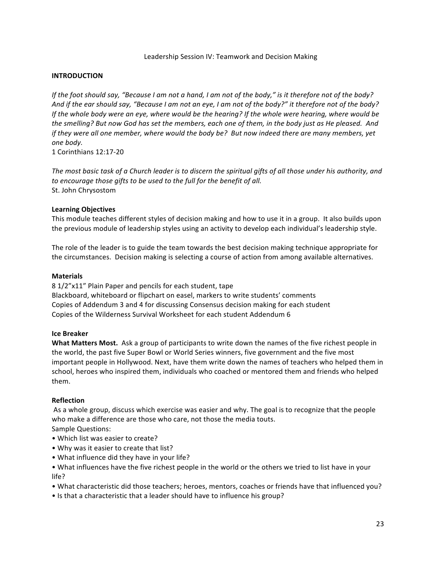#### Leadership Session IV: Teamwork and Decision Making

#### **INTRODUCTION**

*If* the foot should say, "Because I am not a hand, I am not of the body," is it therefore not of the body? And if the ear should say, "Because I am not an eye, I am not of the body?" it therefore not of the body? *If* the whole body were an eye, where would be the hearing? If the whole were hearing, where would be the smelling? But now God has set the members, each one of them, in the body just as He pleased. And *if* they were all one member, where would the body be? But now indeed there are many members, yet *one body.*

1 Corinthians 12:17-20

The most basic task of a Church leader is to discern the spiritual gifts of all those under his authority, and to encourage those gifts to be used to the full for the benefit of all. St. John Chrysostom

#### **Learning Objectives**

This module teaches different styles of decision making and how to use it in a group. It also builds upon the previous module of leadership styles using an activity to develop each individual's leadership style.

The role of the leader is to guide the team towards the best decision making technique appropriate for the circumstances. Decision making is selecting a course of action from among available alternatives.

#### **Materials**

8 1/2"x11" Plain Paper and pencils for each student, tape Blackboard, whiteboard or flipchart on easel, markers to write students' comments Copies of Addendum 3 and 4 for discussing Consensus decision making for each student Copies of the Wilderness Survival Worksheet for each student Addendum 6

#### **Ice Breaker**

**What Matters Most.** Ask a group of participants to write down the names of the five richest people in the world, the past five Super Bowl or World Series winners, five government and the five most important people in Hollywood. Next, have them write down the names of teachers who helped them in school, heroes who inspired them, individuals who coached or mentored them and friends who helped them. 

#### **Reflection**

As a whole group, discuss which exercise was easier and why. The goal is to recognize that the people who make a difference are those who care, not those the media touts.

- Sample Questions:
- Which list was easier to create?
- Why was it easier to create that list?
- What influence did they have in your life?
- What influences have the five richest people in the world or the others we tried to list have in your life?
- What characteristic did those teachers; heroes, mentors, coaches or friends have that influenced you?
- Is that a characteristic that a leader should have to influence his group?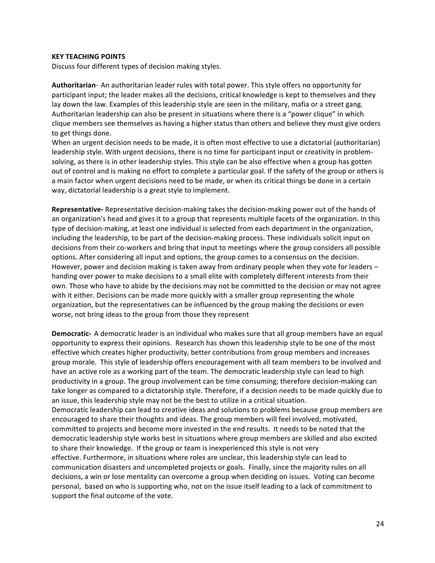#### **KEY TEACHING POINTS**

Discuss four different types of decision making styles.

Authoritarian- An authoritarian leader rules with total power. This style offers no opportunity for participant input; the leader makes all the decisions, critical knowledge is kept to themselves and they lay down the law. Examples of this leadership style are seen in the military, mafia or a street gang. Authoritarian leadership can also be present in situations where there is a "power clique" in which clique members see themselves as having a higher status than others and believe they must give orders to get things done.

When an urgent decision needs to be made, it is often most effective to use a dictatorial (authoritarian) leadership style. With urgent decisions, there is no time for participant input or creativity in problemsolving, as there is in other leadership styles. This style can be also effective when a group has gotten out of control and is making no effort to complete a particular goal. If the safety of the group or others is a main factor when urgent decisions need to be made, or when its critical things be done in a certain way, dictatorial leadership is a great style to implement.

**Representative-** Representative decision-making takes the decision-making power out of the hands of an organization's head and gives it to a group that represents multiple facets of the organization. In this type of decision-making, at least one individual is selected from each department in the organization, including the leadership, to be part of the decision-making process. These individuals solicit input on decisions from their co-workers and bring that input to meetings where the group considers all possible options. After considering all input and options, the group comes to a consensus on the decision. However, power and decision making is taken away from ordinary people when they vote for leaders  $$ handing over power to make decisions to a small elite with completely different interests from their own. Those who have to abide by the decisions may not be committed to the decision or may not agree with it either. Decisions can be made more quickly with a smaller group representing the whole organization, but the representatives can be influenced by the group making the decisions or even worse, not bring ideas to the group from those they represent

**Democratic-** A democratic leader is an individual who makes sure that all group members have an equal opportunity to express their opinions. Research has shown this leadership style to be one of the most effective which creates higher productivity, better contributions from group members and increases group morale. This style of leadership offers encouragement with all team members to be involved and have an active role as a working part of the team. The democratic leadership style can lead to high productivity in a group. The group involvement can be time consuming; therefore decision-making can take longer as compared to a dictatorship style. Therefore, if a decision needs to be made quickly due to an issue, this leadership style may not be the best to utilize in a critical situation. Democratic leadership can lead to creative ideas and solutions to problems because group members are encouraged to share their thoughts and ideas. The group members will feel involved, motivated, committed to projects and become more invested in the end results. It needs to be noted that the democratic leadership style works best in situations where group members are skilled and also excited to share their knowledge. If the group or team is inexperienced this style is not very effective. Furthermore, in situations where roles are unclear, this leadership style can lead to communication disasters and uncompleted projects or goals. Finally, since the majority rules on all decisions, a win or lose mentality can overcome a group when deciding on issues. Voting can become personal, based on who is supporting who, not on the issue itself leading to a lack of commitment to support the final outcome of the vote.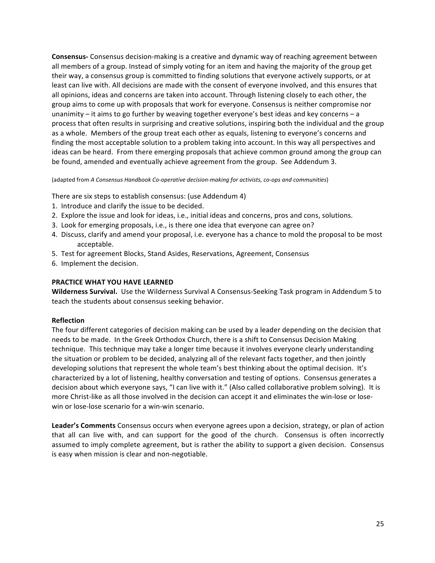**Consensus-** Consensus decision-making is a creative and dynamic way of reaching agreement between all members of a group. Instead of simply voting for an item and having the majority of the group get their way, a consensus group is committed to finding solutions that everyone actively supports, or at least can live with. All decisions are made with the consent of everyone involved, and this ensures that all opinions, ideas and concerns are taken into account. Through listening closely to each other, the group aims to come up with proposals that work for everyone. Consensus is neither compromise nor unanimity  $-$  it aims to go further by weaving together everyone's best ideas and key concerns  $-$  a process that often results in surprising and creative solutions, inspiring both the individual and the group as a whole. Members of the group treat each other as equals, listening to everyone's concerns and finding the most acceptable solution to a problem taking into account. In this way all perspectives and ideas can be heard. From there emerging proposals that achieve common ground among the group can be found, amended and eventually achieve agreement from the group. See Addendum 3.

(adapted from A Consensus Handbook Co-operative decision-making for activists, co-ops and communities)

There are six steps to establish consensus: (use Addendum 4)

- 1. Introduce and clarify the issue to be decided.
- 2. Explore the issue and look for ideas, i.e., initial ideas and concerns, pros and cons, solutions.
- 3. Look for emerging proposals, i.e., is there one idea that everyone can agree on?
- 4. Discuss, clarify and amend your proposal, i.e. everyone has a chance to mold the proposal to be most acceptable.
- 5. Test for agreement Blocks, Stand Asides, Reservations, Agreement, Consensus
- 6. Implement the decision.

#### **PRACTICE WHAT YOU HAVE LEARNED**

**Wilderness Survival.** Use the Wilderness Survival A Consensus-Seeking Task program in Addendum 5 to teach the students about consensus seeking behavior.

#### **Reflection**

The four different categories of decision making can be used by a leader depending on the decision that needs to be made. In the Greek Orthodox Church, there is a shift to Consensus Decision Making technique. This technique may take a longer time because it involves everyone clearly understanding the situation or problem to be decided, analyzing all of the relevant facts together, and then jointly developing solutions that represent the whole team's best thinking about the optimal decision. It's characterized by a lot of listening, healthy conversation and testing of options. Consensus generates a decision about which everyone says, "I can live with it." (Also called collaborative problem solving). It is more Christ-like as all those involved in the decision can accept it and eliminates the win-lose or losewin or lose-lose scenario for a win-win scenario.

Leader's Comments Consensus occurs when everyone agrees upon a decision, strategy, or plan of action that all can live with, and can support for the good of the church. Consensus is often incorrectly assumed to imply complete agreement, but is rather the ability to support a given decision. Consensus is easy when mission is clear and non-negotiable.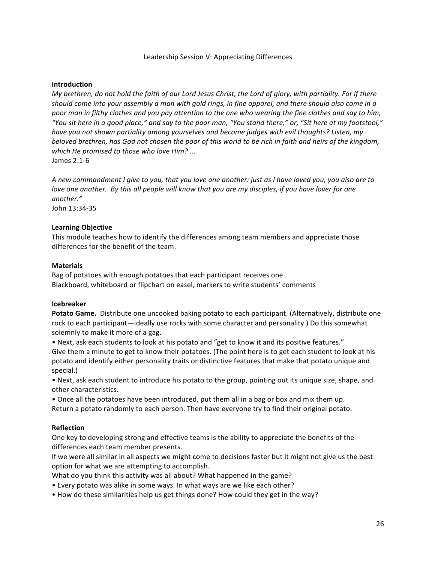#### **Introduction**

*My* brethren, do not hold the faith of our Lord Jesus Christ, the Lord of glory, with partiality. For if there should come into your assembly a man with gold rings, in fine apparel, and there should also come in a *poor* man in filthy clothes and you pay attention to the one who wearing the fine clothes and say to him, *"You sit here in a good place," and say to the poor man, "You stand there," or, "Sit here at my footstool,"*  have you not shown partiality among yourselves and become judges with evil thoughts? Listen, my *beloved* brethren, has God not chosen the poor of this world to be rich in faith and heirs of the kingdom, which He promised to those who love Him? ... James 2:1-6

*A* new commandment *I* give to you, that you love one another: just as *I* have loved you, you also are to *love* one another. By this all people will know that you are my disciples, if you have lover for one *another."*

John 13:34-35

#### **Learning Objective**

This module teaches how to identify the differences among team members and appreciate those differences for the benefit of the team.

#### **Materials**

Bag of potatoes with enough potatoes that each participant receives one Blackboard, whiteboard or flipchart on easel, markers to write students' comments

#### **Icebreaker**

**Potato Game.** Distribute one uncooked baking potato to each participant. (Alternatively, distribute one rock to each participant—ideally use rocks with some character and personality.) Do this somewhat solemnly to make it more of a gag.

• Next, ask each students to look at his potato and "get to know it and its positive features." Give them a minute to get to know their potatoes. (The point here is to get each student to look at his potato and identify either personality traits or distinctive features that make that potato unique and special.)

• Next, ask each student to introduce his potato to the group, pointing out its unique size, shape, and other characteristics.

• Once all the potatoes have been introduced, put them all in a bag or box and mix them up. Return a potato randomly to each person. Then have everyone try to find their original potato.

#### **Reflection**

One key to developing strong and effective teams is the ability to appreciate the benefits of the differences each team member presents.

If we were all similar in all aspects we might come to decisions faster but it might not give us the best option for what we are attempting to accomplish.

What do you think this activity was all about? What happened in the game?

• Every potato was alike in some ways. In what ways are we like each other?

• How do these similarities help us get things done? How could they get in the way?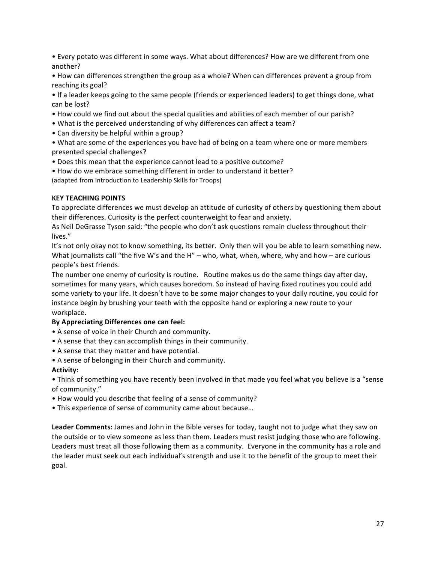- Every potato was different in some ways. What about differences? How are we different from one another?
- How can differences strengthen the group as a whole? When can differences prevent a group from reaching its goal?
- If a leader keeps going to the same people (friends or experienced leaders) to get things done, what can be lost?
- How could we find out about the special qualities and abilities of each member of our parish?
- What is the perceived understanding of why differences can affect a team?
- Can diversity be helpful within a group?
- What are some of the experiences you have had of being on a team where one or more members presented special challenges?
- Does this mean that the experience cannot lead to a positive outcome?
- How do we embrace something different in order to understand it better? (adapted from Introduction to Leadership Skills for Troops)

#### **KEY TEACHING POINTS**

To appreciate differences we must develop an attitude of curiosity of others by questioning them about their differences. Curiosity is the perfect counterweight to fear and anxiety.

As Neil DeGrasse Tyson said: "the people who don't ask questions remain clueless throughout their lives."

It's not only okay not to know something, its better. Only then will you be able to learn something new. What journalists call "the five W's and the H" – who, what, when, where, why and how – are curious people's best friends.

The number one enemy of curiosity is routine. Routine makes us do the same things day after day, sometimes for many years, which causes boredom. So instead of having fixed routines you could add some variety to your life. It doesn't have to be some major changes to your daily routine, you could for instance begin by brushing your teeth with the opposite hand or exploring a new route to your workplace.

#### By Appreciating Differences one can feel:

- A sense of voice in their Church and community.
- A sense that they can accomplish things in their community.
- A sense that they matter and have potential.
- A sense of belonging in their Church and community.

#### **Activity:**

• Think of something you have recently been involved in that made you feel what you believe is a "sense of community."

- How would you describe that feeling of a sense of community?
- This experience of sense of community came about because...

**Leader Comments:** James and John in the Bible verses for today, taught not to judge what they saw on the outside or to view someone as less than them. Leaders must resist judging those who are following. Leaders must treat all those following them as a community. Everyone in the community has a role and the leader must seek out each individual's strength and use it to the benefit of the group to meet their goal.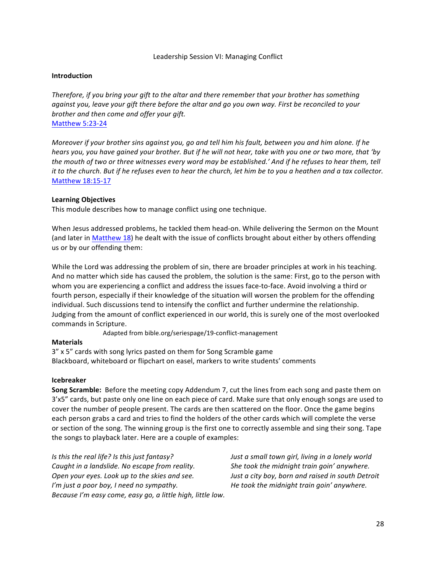#### **Introduction**

*Therefore, if you bring your gift to the altar and there remember that your brother has something against you, leave your gift there before the altar and go you own way. First be reconciled to your brother and then come and offer your gift.* Matthew 5:23-24

*Moreover if your brother sins against you, go and tell him his fault, between you and him alone. If he hears* you, you have gained your brother. But if he will not hear, take with you one or two more, that 'by *the mouth of two or three witnesses every word may be established.'* And if he refuses to hear them, tell *it* to the church. But if he refuses even to hear the church, let him be to you a heathen and a tax collector. Matthew 18:15-17

#### **Learning Objectives**

This module describes how to manage conflict using one technique.

When Jesus addressed problems, he tackled them head-on. While delivering the Sermon on the Mount (and later in Matthew 18) he dealt with the issue of conflicts brought about either by others offending us or by our offending them:

While the Lord was addressing the problem of sin, there are broader principles at work in his teaching. And no matter which side has caused the problem, the solution is the same: First, go to the person with whom you are experiencing a conflict and address the issues face-to-face. Avoid involving a third or fourth person, especially if their knowledge of the situation will worsen the problem for the offending individual. Such discussions tend to intensify the conflict and further undermine the relationship. Judging from the amount of conflict experienced in our world, this is surely one of the most overlooked commands in Scripture.

Adapted from bible.org/seriespage/19-conflict-management

#### **Materials**

3" x 5" cards with song lyrics pasted on them for Song Scramble game Blackboard, whiteboard or flipchart on easel, markers to write students' comments

#### **Icebreaker**

**Song Scramble:** Before the meeting copy Addendum 7, cut the lines from each song and paste them on 3'x5" cards, but paste only one line on each piece of card. Make sure that only enough songs are used to cover the number of people present. The cards are then scattered on the floor. Once the game begins each person grabs a card and tries to find the holders of the other cards which will complete the verse or section of the song. The winning group is the first one to correctly assemble and sing their song. Tape the songs to playback later. Here are a couple of examples:

*Caught in a landslide.* No escape from reality. She took the midnight train goin' anywhere. *Open your eyes. Look up to the skies and see. Just a city boy, born and raised in south Detroit I'm* just a poor boy, I need no sympathy. *He took the midnight train goin'* anywhere. *Because I'm easy come, easy go, a little high, little low.* 

*Is* this the real life? Is this just fantasy? *Just a small town girl, living in a lonely world*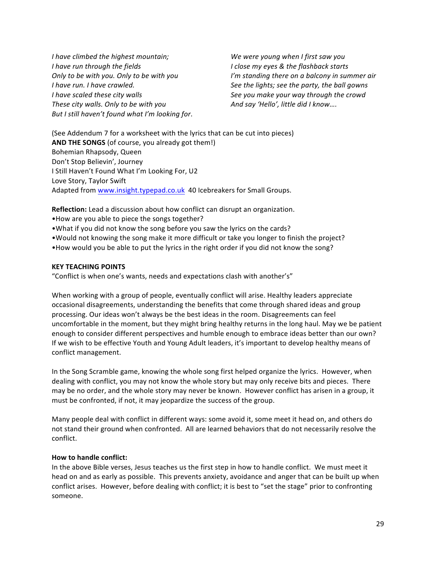*I* have climbed the highest mountain; *We* were young when *I* first saw you *I* have run through the fields *I I* close my eyes & the flashback starts *I* have run. I have crawled. **See the lights;** see the party, the ball gowns *I* have scaled these city walls **See** you make your way through the crowd *These city walls.* Only to be with you *And say 'Hello', little did I know....* But I still haven't found what I'm looking for.

*Only* to be with you. Only to be with you *I'm standing there on a balcony in summer air* 

(See Addendum 7 for a worksheet with the lyrics that can be cut into pieces) **AND THE SONGS** (of course, you already got them!) Bohemian Rhapsody, Queen Don't Stop Believin', Journey I Still Haven't Found What I'm Looking For, U2 Love Story, Taylor Swift Adapted from www.insight.typepad.co.uk 40 Icebreakers for Small Groups.

**Reflection:** Lead a discussion about how conflict can disrupt an organization. • How are you able to piece the songs together?

• What if you did not know the song before you saw the lyrics on the cards?

• Would not knowing the song make it more difficult or take you longer to finish the project?

•How would you be able to put the lyrics in the right order if you did not know the song?

#### **KEY TEACHING POINTS**

"Conflict is when one's wants, needs and expectations clash with another's"

When working with a group of people, eventually conflict will arise. Healthy leaders appreciate occasional disagreements, understanding the benefits that come through shared ideas and group processing. Our ideas won't always be the best ideas in the room. Disagreements can feel uncomfortable in the moment, but they might bring healthy returns in the long haul. May we be patient enough to consider different perspectives and humble enough to embrace ideas better than our own? If we wish to be effective Youth and Young Adult leaders, it's important to develop healthy means of conflict management.

In the Song Scramble game, knowing the whole song first helped organize the lyrics. However, when dealing with conflict, you may not know the whole story but may only receive bits and pieces. There may be no order, and the whole story may never be known. However conflict has arisen in a group, it must be confronted, if not, it may jeopardize the success of the group.

Many people deal with conflict in different ways: some avoid it, some meet it head on, and others do not stand their ground when confronted. All are learned behaviors that do not necessarily resolve the conflict.

#### **How to handle conflict:**

In the above Bible verses, Jesus teaches us the first step in how to handle conflict. We must meet it head on and as early as possible. This prevents anxiety, avoidance and anger that can be built up when conflict arises. However, before dealing with conflict; it is best to "set the stage" prior to confronting someone.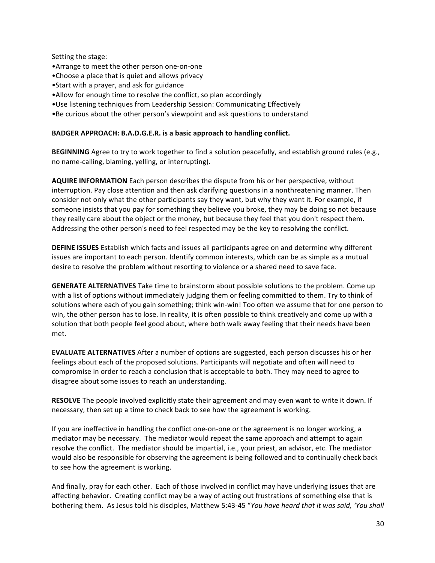Setting the stage:

- Arrange to meet the other person one-on-one
- •Choose a place that is quiet and allows privacy
- Start with a prayer, and ask for guidance
- Allow for enough time to resolve the conflict, so plan accordingly
- Use listening techniques from Leadership Session: Communicating Effectively
- •Be curious about the other person's viewpoint and ask questions to understand

#### BADGER APPROACH: B.A.D.G.E.R. is a basic approach to handling conflict.

**BEGINNING** Agree to try to work together to find a solution peacefully, and establish ground rules (e.g., no name-calling, blaming, yelling, or interrupting).

**AQUIRE INFORMATION** Each person describes the dispute from his or her perspective, without interruption. Pay close attention and then ask clarifying questions in a nonthreatening manner. Then consider not only what the other participants say they want, but why they want it. For example, if someone insists that you pay for something they believe you broke, they may be doing so not because they really care about the object or the money, but because they feel that you don't respect them. Addressing the other person's need to feel respected may be the key to resolving the conflict.

**DEFINE ISSUES** Establish which facts and issues all participants agree on and determine why different issues are important to each person. Identify common interests, which can be as simple as a mutual desire to resolve the problem without resorting to violence or a shared need to save face.

**GENERATE ALTERNATIVES** Take time to brainstorm about possible solutions to the problem. Come up with a list of options without immediately judging them or feeling committed to them. Try to think of solutions where each of you gain something; think win-win! Too often we assume that for one person to win, the other person has to lose. In reality, it is often possible to think creatively and come up with a solution that both people feel good about, where both walk away feeling that their needs have been met.

**EVALUATE ALTERNATIVES** After a number of options are suggested, each person discusses his or her feelings about each of the proposed solutions. Participants will negotiate and often will need to compromise in order to reach a conclusion that is acceptable to both. They may need to agree to disagree about some issues to reach an understanding.

RESOLVE The people involved explicitly state their agreement and may even want to write it down. If necessary, then set up a time to check back to see how the agreement is working.

If you are ineffective in handling the conflict one-on-one or the agreement is no longer working, a mediator may be necessary. The mediator would repeat the same approach and attempt to again resolve the conflict. The mediator should be impartial, i.e., your priest, an advisor, etc. The mediator would also be responsible for observing the agreement is being followed and to continually check back to see how the agreement is working.

And finally, pray for each other. Each of those involved in conflict may have underlying issues that are affecting behavior. Creating conflict may be a way of acting out frustrations of something else that is bothering them. As Jesus told his disciples, Matthew 5:43-45 "You have heard that it was said, 'You shall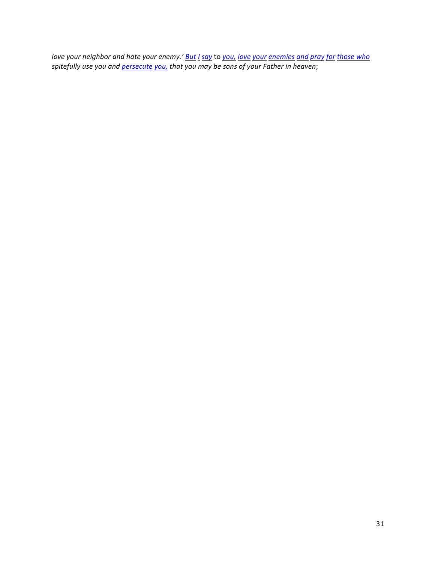*love* your neighbor and hate your enemy.' But *I* say to you, love your enemies and pray for those who spitefully use you and <u>persecute you,</u> that you may be sons of your Father in heaven;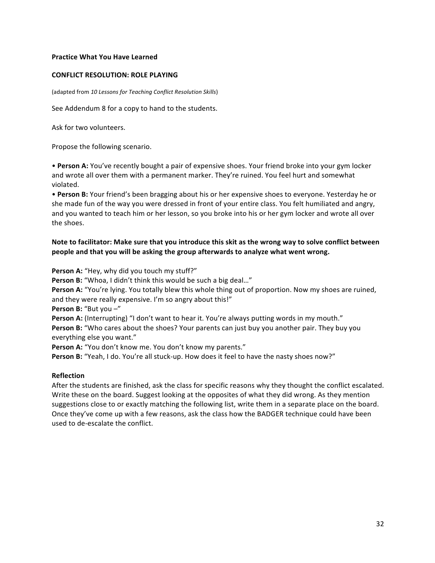#### **Practice What You Have Learned**

#### **CONFLICT RESOLUTION: ROLE PLAYING**

(adapted from 10 Lessons for Teaching Conflict Resolution Skills)

See Addendum 8 for a copy to hand to the students.

Ask for two volunteers.

Propose the following scenario.

• Person A: You've recently bought a pair of expensive shoes. Your friend broke into your gym locker and wrote all over them with a permanent marker. They're ruined. You feel hurt and somewhat violated. 

• Person B: Your friend's been bragging about his or her expensive shoes to everyone. Yesterday he or she made fun of the way you were dressed in front of your entire class. You felt humiliated and angry, and you wanted to teach him or her lesson, so you broke into his or her gym locker and wrote all over the shoes. 

#### Note to facilitator: Make sure that you introduce this skit as the wrong way to solve conflict between **people and that you will be asking the group afterwards to analyze what went wrong.**

**Person A:** "Hey, why did you touch my stuff?"

**Person B:** "Whoa, I didn't think this would be such a big deal..."

**Person A:** "You're lying. You totally blew this whole thing out of proportion. Now my shoes are ruined, and they were really expensive. I'm so angry about this!"

**Person B:** "But you  $-$ "

**Person A:** (Interrupting) "I don't want to hear it. You're always putting words in my mouth."

**Person B:** "Who cares about the shoes? Your parents can just buy you another pair. They buy you everything else you want."

**Person A:** "You don't know me. You don't know my parents."

**Person B:** "Yeah, I do. You're all stuck-up. How does it feel to have the nasty shoes now?"

#### **Reflection**

After the students are finished, ask the class for specific reasons why they thought the conflict escalated. Write these on the board. Suggest looking at the opposites of what they did wrong. As they mention suggestions close to or exactly matching the following list, write them in a separate place on the board. Once they've come up with a few reasons, ask the class how the BADGER technique could have been used to de-escalate the conflict.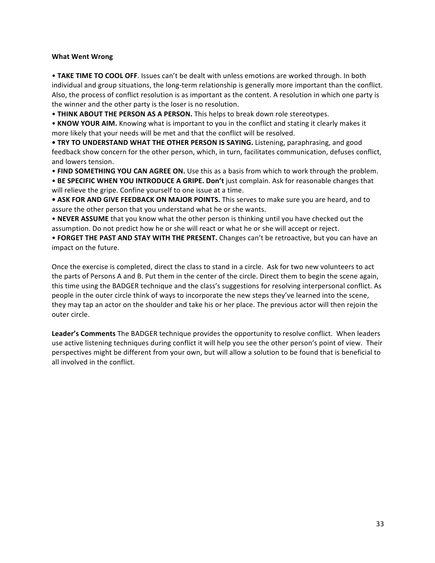#### **What Went Wrong**

• TAKE TIME TO COOL OFF. Issues can't be dealt with unless emotions are worked through. In both individual and group situations, the long-term relationship is generally more important than the conflict. Also, the process of conflict resolution is as important as the content. A resolution in which one party is the winner and the other party is the loser is no resolution.

• THINK ABOUT THE PERSON AS A PERSON. This helps to break down role stereotypes.

• **KNOW YOUR AIM.** Knowing what is important to you in the conflict and stating it clearly makes it more likely that your needs will be met and that the conflict will be resolved.

• **TRY TO UNDERSTAND WHAT THE OTHER PERSON IS SAYING.** Listening, paraphrasing, and good feedback show concern for the other person, which, in turn, facilitates communication, defuses conflict, and lowers tension.

• FIND SOMETHING YOU CAN AGREE ON. Use this as a basis from which to work through the problem.

• BE SPECIFIC WHEN YOU INTRODUCE A GRIPE. Don't just complain. Ask for reasonable changes that will relieve the gripe. Confine yourself to one issue at a time.

• ASK FOR AND GIVE FEEDBACK ON MAJOR POINTS. This serves to make sure you are heard, and to assure the other person that you understand what he or she wants.

• NEVER ASSUME that you know what the other person is thinking until you have checked out the assumption. Do not predict how he or she will react or what he or she will accept or reject.

• **FORGET THE PAST AND STAY WITH THE PRESENT.** Changes can't be retroactive, but you can have an impact on the future.

Once the exercise is completed, direct the class to stand in a circle. Ask for two new volunteers to act the parts of Persons A and B. Put them in the center of the circle. Direct them to begin the scene again, this time using the BADGER technique and the class's suggestions for resolving interpersonal conflict. As people in the outer circle think of ways to incorporate the new steps they've learned into the scene, they may tap an actor on the shoulder and take his or her place. The previous actor will then rejoin the outer circle.

**Leader's Comments** The BADGER technique provides the opportunity to resolve conflict. When leaders use active listening techniques during conflict it will help you see the other person's point of view. Their perspectives might be different from your own, but will allow a solution to be found that is beneficial to all involved in the conflict.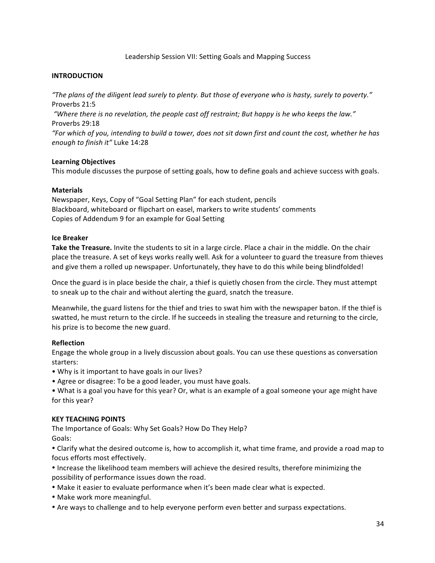#### Leadership Session VII: Setting Goals and Mapping Success

#### **INTRODUCTION**

*"The plans of the diligent lead surely to plenty. But those of everyone who is hasty, surely to poverty."* Proverbs 21:5

"Where there is no revelation, the people cast off restraint; But happy is he who keeps the law." Proverbs 29:18

"For which of you, intending to build a tower, does not sit down first and count the cost, whether he has *enough to finish it"* Luke 14:28

#### **Learning Objectives**

This module discusses the purpose of setting goals, how to define goals and achieve success with goals.

#### **Materials**

Newspaper, Keys, Copy of "Goal Setting Plan" for each student, pencils Blackboard, whiteboard or flipchart on easel, markers to write students' comments Copies of Addendum 9 for an example for Goal Setting

#### **Ice Breaker**

**Take the Treasure.** Invite the students to sit in a large circle. Place a chair in the middle. On the chair place the treasure. A set of keys works really well. Ask for a volunteer to guard the treasure from thieves and give them a rolled up newspaper. Unfortunately, they have to do this while being blindfolded!

Once the guard is in place beside the chair, a thief is quietly chosen from the circle. They must attempt to sneak up to the chair and without alerting the guard, snatch the treasure.

Meanwhile, the guard listens for the thief and tries to swat him with the newspaper baton. If the thief is swatted, he must return to the circle. If he succeeds in stealing the treasure and returning to the circle, his prize is to become the new guard.

#### **Reflection**

Engage the whole group in a lively discussion about goals. You can use these questions as conversation starters:

- Why is it important to have goals in our lives?
- Agree or disagree: To be a good leader, you must have goals.

• What is a goal you have for this year? Or, what is an example of a goal someone your age might have for this year?

#### **KEY TEACHING POINTS**

The Importance of Goals: Why Set Goals? How Do They Help? Goals: 

• Clarify what the desired outcome is, how to accomplish it, what time frame, and provide a road map to focus efforts most effectively.

• Increase the likelihood team members will achieve the desired results, therefore minimizing the possibility of performance issues down the road.

- Make it easier to evaluate performance when it's been made clear what is expected.
- Make work more meaningful.
- Are ways to challenge and to help everyone perform even better and surpass expectations.